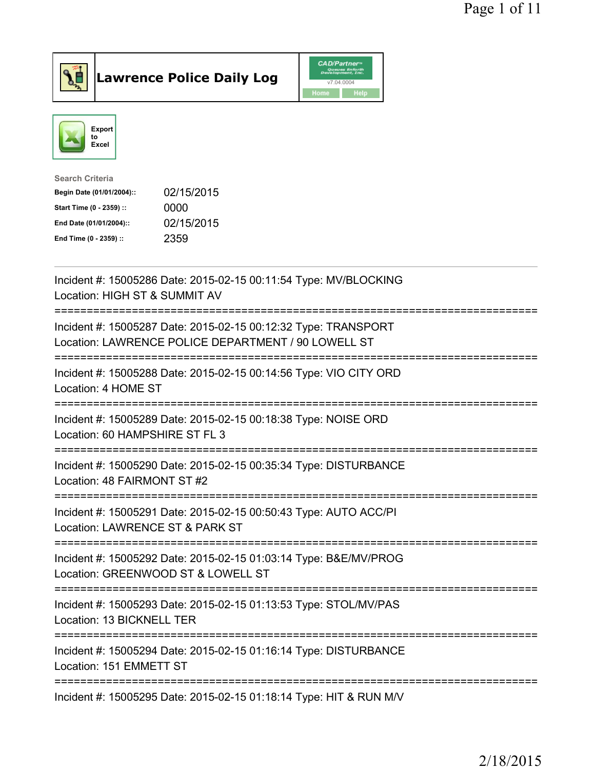

Lawrence Police Daily Log CAD/Partner



| <b>Search Criteria</b>    |            |
|---------------------------|------------|
| Begin Date (01/01/2004):: | 02/15/2015 |
| Start Time (0 - 2359) ::  | 0000       |
| End Date (01/01/2004)::   | 02/15/2015 |
| End Time (0 - 2359) ::    | 2359       |
|                           |            |

| Incident #: 15005286 Date: 2015-02-15 00:11:54 Type: MV/BLOCKING<br>Location: HIGH ST & SUMMIT AV                      |
|------------------------------------------------------------------------------------------------------------------------|
| Incident #: 15005287 Date: 2015-02-15 00:12:32 Type: TRANSPORT<br>Location: LAWRENCE POLICE DEPARTMENT / 90 LOWELL ST  |
| Incident #: 15005288 Date: 2015-02-15 00:14:56 Type: VIO CITY ORD<br>Location: 4 HOME ST                               |
| Incident #: 15005289 Date: 2015-02-15 00:18:38 Type: NOISE ORD<br>Location: 60 HAMPSHIRE ST FL 3                       |
| Incident #: 15005290 Date: 2015-02-15 00:35:34 Type: DISTURBANCE<br>Location: 48 FAIRMONT ST #2                        |
| Incident #: 15005291 Date: 2015-02-15 00:50:43 Type: AUTO ACC/PI<br>Location: LAWRENCE ST & PARK ST<br>----------      |
| Incident #: 15005292 Date: 2015-02-15 01:03:14 Type: B&E/MV/PROG<br>Location: GREENWOOD ST & LOWELL ST                 |
| =====================<br>Incident #: 15005293 Date: 2015-02-15 01:13:53 Type: STOL/MV/PAS<br>Location: 13 BICKNELL TER |
| Incident #: 15005294 Date: 2015-02-15 01:16:14 Type: DISTURBANCE<br>Location: 151 EMMETT ST                            |
| Incident #: 15005295 Date: 2015-02-15 01:18:14 Type: HIT & RUN M/V                                                     |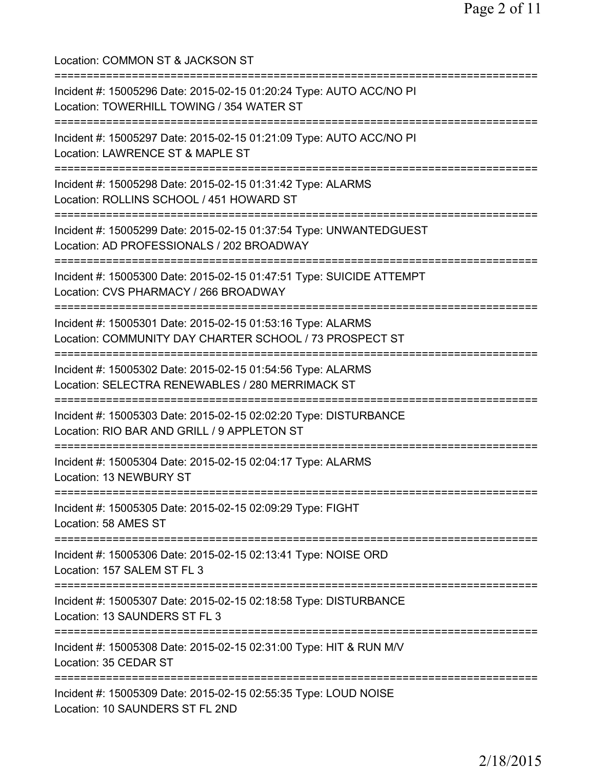| Location: COMMON ST & JACKSON ST                                                                                                                 |
|--------------------------------------------------------------------------------------------------------------------------------------------------|
| Incident #: 15005296 Date: 2015-02-15 01:20:24 Type: AUTO ACC/NO PI<br>Location: TOWERHILL TOWING / 354 WATER ST                                 |
| Incident #: 15005297 Date: 2015-02-15 01:21:09 Type: AUTO ACC/NO PI<br>Location: LAWRENCE ST & MAPLE ST<br>====================================  |
| Incident #: 15005298 Date: 2015-02-15 01:31:42 Type: ALARMS<br>Location: ROLLINS SCHOOL / 451 HOWARD ST<br>:==================================== |
| Incident #: 15005299 Date: 2015-02-15 01:37:54 Type: UNWANTEDGUEST<br>Location: AD PROFESSIONALS / 202 BROADWAY                                  |
| Incident #: 15005300 Date: 2015-02-15 01:47:51 Type: SUICIDE ATTEMPT<br>Location: CVS PHARMACY / 266 BROADWAY                                    |
| Incident #: 15005301 Date: 2015-02-15 01:53:16 Type: ALARMS<br>Location: COMMUNITY DAY CHARTER SCHOOL / 73 PROSPECT ST                           |
| Incident #: 15005302 Date: 2015-02-15 01:54:56 Type: ALARMS<br>Location: SELECTRA RENEWABLES / 280 MERRIMACK ST<br>========================      |
| Incident #: 15005303 Date: 2015-02-15 02:02:20 Type: DISTURBANCE<br>Location: RIO BAR AND GRILL / 9 APPLETON ST                                  |
| ====================<br>Incident #: 15005304 Date: 2015-02-15 02:04:17 Type: ALARMS<br>Location: 13 NEWBURY ST                                   |
| Incident #: 15005305 Date: 2015-02-15 02:09:29 Type: FIGHT<br>Location: 58 AMES ST                                                               |
| Incident #: 15005306 Date: 2015-02-15 02:13:41 Type: NOISE ORD<br>Location: 157 SALEM ST FL 3                                                    |
| Incident #: 15005307 Date: 2015-02-15 02:18:58 Type: DISTURBANCE<br>Location: 13 SAUNDERS ST FL 3                                                |
| =========<br>Incident #: 15005308 Date: 2015-02-15 02:31:00 Type: HIT & RUN M/V<br>Location: 35 CEDAR ST                                         |
| Incident #: 15005309 Date: 2015-02-15 02:55:35 Type: LOUD NOISE<br>Location: 10 SAUNDERS ST FL 2ND                                               |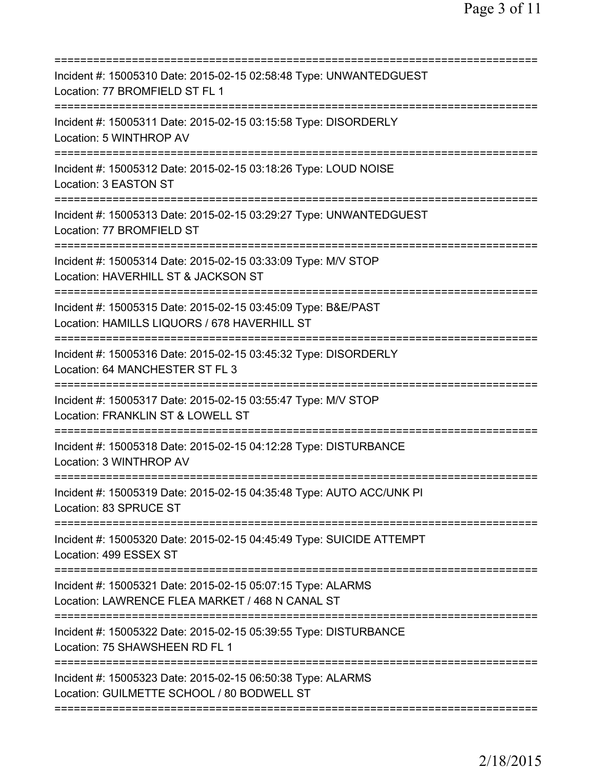| Incident #: 15005310 Date: 2015-02-15 02:58:48 Type: UNWANTEDGUEST<br>Location: 77 BROMFIELD ST FL 1<br>========================                 |
|--------------------------------------------------------------------------------------------------------------------------------------------------|
| Incident #: 15005311 Date: 2015-02-15 03:15:58 Type: DISORDERLY<br>Location: 5 WINTHROP AV                                                       |
| Incident #: 15005312 Date: 2015-02-15 03:18:26 Type: LOUD NOISE<br>Location: 3 EASTON ST                                                         |
| Incident #: 15005313 Date: 2015-02-15 03:29:27 Type: UNWANTEDGUEST<br>Location: 77 BROMFIELD ST                                                  |
| Incident #: 15005314 Date: 2015-02-15 03:33:09 Type: M/V STOP<br>Location: HAVERHILL ST & JACKSON ST                                             |
| Incident #: 15005315 Date: 2015-02-15 03:45:09 Type: B&E/PAST<br>Location: HAMILLS LIQUORS / 678 HAVERHILL ST<br>;=============================  |
| Incident #: 15005316 Date: 2015-02-15 03:45:32 Type: DISORDERLY<br>Location: 64 MANCHESTER ST FL 3                                               |
| Incident #: 15005317 Date: 2015-02-15 03:55:47 Type: M/V STOP<br>Location: FRANKLIN ST & LOWELL ST<br>============<br>;========================= |
| Incident #: 15005318 Date: 2015-02-15 04:12:28 Type: DISTURBANCE<br>Location: 3 WINTHROP AV                                                      |
| Incident #: 15005319 Date: 2015-02-15 04:35:48 Type: AUTO ACC/UNK PI<br>Location: 83 SPRUCE ST                                                   |
| ===================================<br>Incident #: 15005320 Date: 2015-02-15 04:45:49 Type: SUICIDE ATTEMPT<br>Location: 499 ESSEX ST            |
| Incident #: 15005321 Date: 2015-02-15 05:07:15 Type: ALARMS<br>Location: LAWRENCE FLEA MARKET / 468 N CANAL ST                                   |
| Incident #: 15005322 Date: 2015-02-15 05:39:55 Type: DISTURBANCE<br>Location: 75 SHAWSHEEN RD FL 1                                               |
| Incident #: 15005323 Date: 2015-02-15 06:50:38 Type: ALARMS<br>Location: GUILMETTE SCHOOL / 80 BODWELL ST                                        |
|                                                                                                                                                  |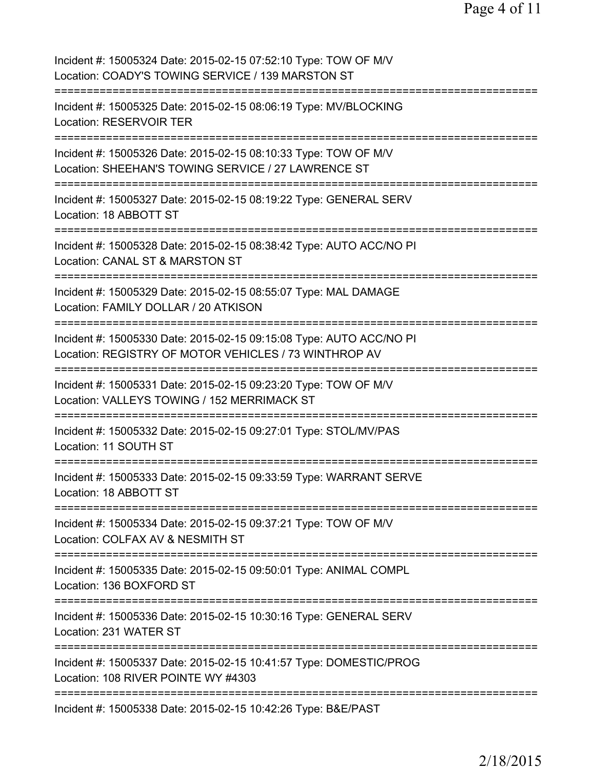| Incident #: 15005324 Date: 2015-02-15 07:52:10 Type: TOW OF M/V<br>Location: COADY'S TOWING SERVICE / 139 MARSTON ST                                                      |
|---------------------------------------------------------------------------------------------------------------------------------------------------------------------------|
| Incident #: 15005325 Date: 2015-02-15 08:06:19 Type: MV/BLOCKING<br><b>Location: RESERVOIR TER</b>                                                                        |
| Incident #: 15005326 Date: 2015-02-15 08:10:33 Type: TOW OF M/V<br>Location: SHEEHAN'S TOWING SERVICE / 27 LAWRENCE ST                                                    |
| Incident #: 15005327 Date: 2015-02-15 08:19:22 Type: GENERAL SERV<br>Location: 18 ABBOTT ST<br>--------------------------                                                 |
| Incident #: 15005328 Date: 2015-02-15 08:38:42 Type: AUTO ACC/NO PI<br>Location: CANAL ST & MARSTON ST<br>:============                                                   |
| Incident #: 15005329 Date: 2015-02-15 08:55:07 Type: MAL DAMAGE<br>Location: FAMILY DOLLAR / 20 ATKISON<br>============                                                   |
| Incident #: 15005330 Date: 2015-02-15 09:15:08 Type: AUTO ACC/NO PI<br>Location: REGISTRY OF MOTOR VEHICLES / 73 WINTHROP AV                                              |
| Incident #: 15005331 Date: 2015-02-15 09:23:20 Type: TOW OF M/V<br>Location: VALLEYS TOWING / 152 MERRIMACK ST                                                            |
| Incident #: 15005332 Date: 2015-02-15 09:27:01 Type: STOL/MV/PAS<br>Location: 11 SOUTH ST                                                                                 |
| Incident #: 15005333 Date: 2015-02-15 09:33:59 Type: WARRANT SERVE<br>Location: 18 ABBOTT ST                                                                              |
| Incident #: 15005334 Date: 2015-02-15 09:37:21 Type: TOW OF M/V<br>Location: COLFAX AV & NESMITH ST                                                                       |
| Incident #: 15005335 Date: 2015-02-15 09:50:01 Type: ANIMAL COMPL<br>Location: 136 BOXFORD ST                                                                             |
| =====================================<br>Incident #: 15005336 Date: 2015-02-15 10:30:16 Type: GENERAL SERV<br>Location: 231 WATER ST<br>--------------------------------- |
| Incident #: 15005337 Date: 2015-02-15 10:41:57 Type: DOMESTIC/PROG<br>Location: 108 RIVER POINTE WY #4303                                                                 |
| Incident #: 15005338 Date: 2015-02-15 10:42:26 Type: B&E/PAST                                                                                                             |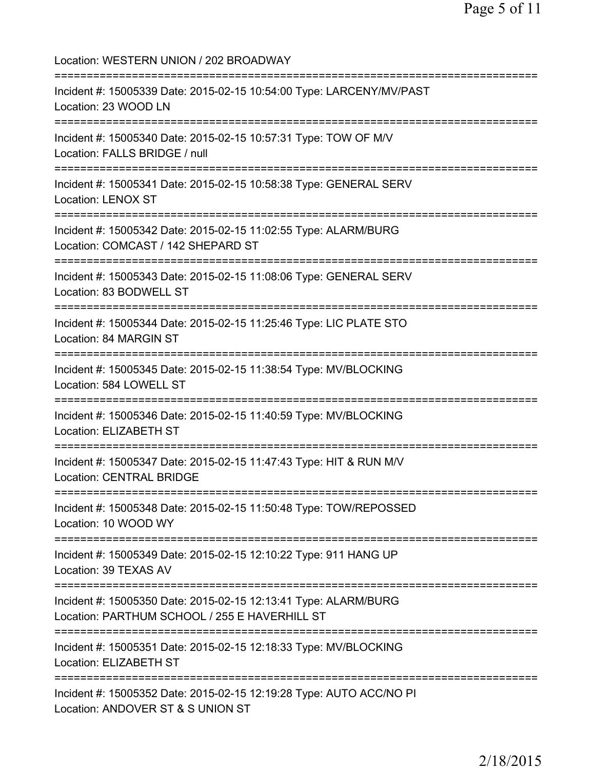Location: WESTERN UNION / 202 BROADWAY =========================================================================== Incident #: 15005339 Date: 2015-02-15 10:54:00 Type: LARCENY/MV/PAST Location: 23 WOOD LN =========================================================================== Incident #: 15005340 Date: 2015-02-15 10:57:31 Type: TOW OF M/V Location: FALLS BRIDGE / null =========================================================================== Incident #: 15005341 Date: 2015-02-15 10:58:38 Type: GENERAL SERV Location: LENOX ST =========================================================================== Incident #: 15005342 Date: 2015-02-15 11:02:55 Type: ALARM/BURG Location: COMCAST / 142 SHEPARD ST =========================================================================== Incident #: 15005343 Date: 2015-02-15 11:08:06 Type: GENERAL SERV Location: 83 BODWELL ST =========================================================================== Incident #: 15005344 Date: 2015-02-15 11:25:46 Type: LIC PLATE STO Location: 84 MARGIN ST =========================================================================== Incident #: 15005345 Date: 2015-02-15 11:38:54 Type: MV/BLOCKING Location: 584 LOWELL ST =========================================================================== Incident #: 15005346 Date: 2015-02-15 11:40:59 Type: MV/BLOCKING Location: ELIZABETH ST =========================================================================== Incident #: 15005347 Date: 2015-02-15 11:47:43 Type: HIT & RUN M/V Location: CENTRAL BRIDGE =========================================================================== Incident #: 15005348 Date: 2015-02-15 11:50:48 Type: TOW/REPOSSED Location: 10 WOOD WY =========================================================================== Incident #: 15005349 Date: 2015-02-15 12:10:22 Type: 911 HANG UP Location: 39 TEXAS AV =========================================================================== Incident #: 15005350 Date: 2015-02-15 12:13:41 Type: ALARM/BURG Location: PARTHUM SCHOOL / 255 E HAVERHILL ST =========================================================================== Incident #: 15005351 Date: 2015-02-15 12:18:33 Type: MV/BLOCKING Location: ELIZABETH ST =========================================================================== Incident #: 15005352 Date: 2015-02-15 12:19:28 Type: AUTO ACC/NO PI Location: ANDOVER ST & S UNION ST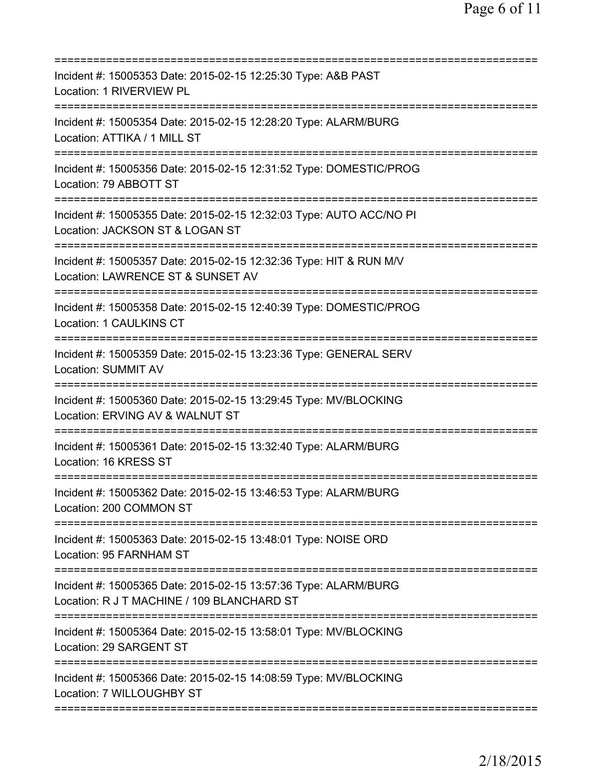| Incident #: 15005353 Date: 2015-02-15 12:25:30 Type: A&B PAST<br>Location: 1 RIVERVIEW PL                                              |
|----------------------------------------------------------------------------------------------------------------------------------------|
| Incident #: 15005354 Date: 2015-02-15 12:28:20 Type: ALARM/BURG<br>Location: ATTIKA / 1 MILL ST                                        |
| Incident #: 15005356 Date: 2015-02-15 12:31:52 Type: DOMESTIC/PROG<br>Location: 79 ABBOTT ST                                           |
| Incident #: 15005355 Date: 2015-02-15 12:32:03 Type: AUTO ACC/NO PI<br>Location: JACKSON ST & LOGAN ST                                 |
| ===========================<br>Incident #: 15005357 Date: 2015-02-15 12:32:36 Type: HIT & RUN M/V<br>Location: LAWRENCE ST & SUNSET AV |
| ==========================<br>Incident #: 15005358 Date: 2015-02-15 12:40:39 Type: DOMESTIC/PROG<br>Location: 1 CAULKINS CT            |
| Incident #: 15005359 Date: 2015-02-15 13:23:36 Type: GENERAL SERV<br><b>Location: SUMMIT AV</b>                                        |
| Incident #: 15005360 Date: 2015-02-15 13:29:45 Type: MV/BLOCKING<br>Location: ERVING AV & WALNUT ST                                    |
| Incident #: 15005361 Date: 2015-02-15 13:32:40 Type: ALARM/BURG<br>Location: 16 KRESS ST                                               |
| Incident #: 15005362 Date: 2015-02-15 13:46:53 Type: ALARM/BURG<br>Location: 200 COMMON ST                                             |
| Incident #: 15005363 Date: 2015-02-15 13:48:01 Type: NOISE ORD<br>Location: 95 FARNHAM ST                                              |
| Incident #: 15005365 Date: 2015-02-15 13:57:36 Type: ALARM/BURG<br>Location: R J T MACHINE / 109 BLANCHARD ST                          |
| ======================================<br>Incident #: 15005364 Date: 2015-02-15 13:58:01 Type: MV/BLOCKING<br>Location: 29 SARGENT ST  |
| Incident #: 15005366 Date: 2015-02-15 14:08:59 Type: MV/BLOCKING<br>Location: 7 WILLOUGHBY ST                                          |
|                                                                                                                                        |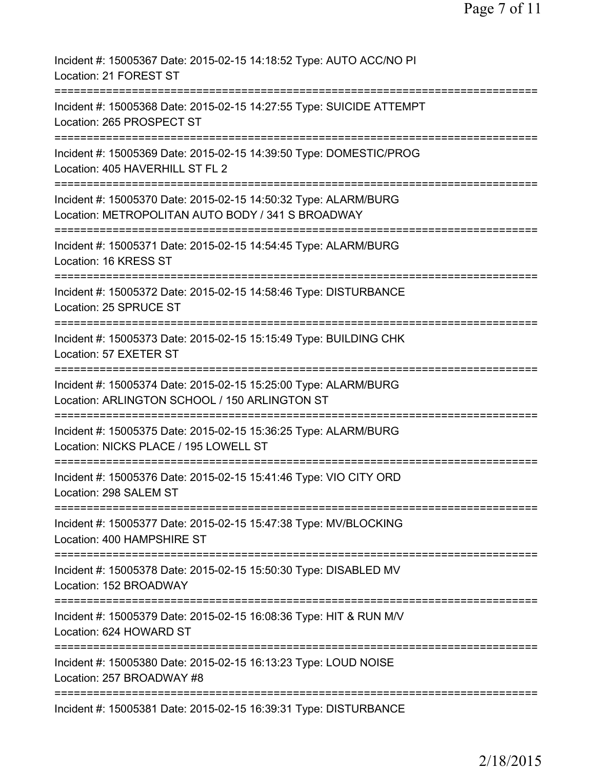| Incident #: 15005367 Date: 2015-02-15 14:18:52 Type: AUTO ACC/NO PI<br>Location: 21 FOREST ST                                                                        |
|----------------------------------------------------------------------------------------------------------------------------------------------------------------------|
| Incident #: 15005368 Date: 2015-02-15 14:27:55 Type: SUICIDE ATTEMPT<br>Location: 265 PROSPECT ST                                                                    |
| Incident #: 15005369 Date: 2015-02-15 14:39:50 Type: DOMESTIC/PROG<br>Location: 405 HAVERHILL ST FL 2                                                                |
| Incident #: 15005370 Date: 2015-02-15 14:50:32 Type: ALARM/BURG<br>Location: METROPOLITAN AUTO BODY / 341 S BROADWAY                                                 |
| Incident #: 15005371 Date: 2015-02-15 14:54:45 Type: ALARM/BURG<br>Location: 16 KRESS ST                                                                             |
| Incident #: 15005372 Date: 2015-02-15 14:58:46 Type: DISTURBANCE<br>Location: 25 SPRUCE ST                                                                           |
| Incident #: 15005373 Date: 2015-02-15 15:15:49 Type: BUILDING CHK<br>Location: 57 EXETER ST<br>========================                                              |
| Incident #: 15005374 Date: 2015-02-15 15:25:00 Type: ALARM/BURG<br>Location: ARLINGTON SCHOOL / 150 ARLINGTON ST                                                     |
| Incident #: 15005375 Date: 2015-02-15 15:36:25 Type: ALARM/BURG<br>Location: NICKS PLACE / 195 LOWELL ST                                                             |
| Incident #: 15005376 Date: 2015-02-15 15:41:46 Type: VIO CITY ORD<br>Location: 298 SALEM ST                                                                          |
| ===========================<br>===================================<br>Incident #: 15005377 Date: 2015-02-15 15:47:38 Type: MV/BLOCKING<br>Location: 400 HAMPSHIRE ST |
| Incident #: 15005378 Date: 2015-02-15 15:50:30 Type: DISABLED MV<br>Location: 152 BROADWAY                                                                           |
| Incident #: 15005379 Date: 2015-02-15 16:08:36 Type: HIT & RUN M/V<br>Location: 624 HOWARD ST                                                                        |
| Incident #: 15005380 Date: 2015-02-15 16:13:23 Type: LOUD NOISE<br>Location: 257 BROADWAY #8                                                                         |
| Incident #: 15005381 Date: 2015-02-15 16:39:31 Type: DISTURBANCE                                                                                                     |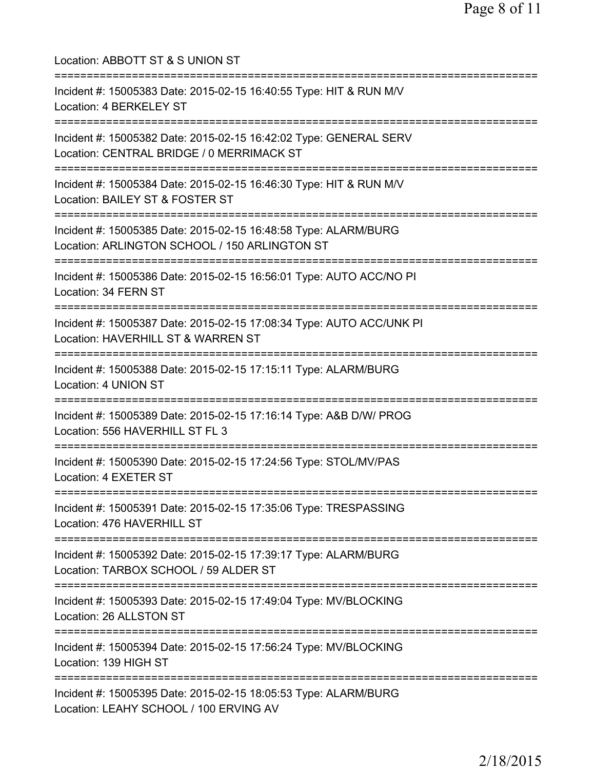| Location: ABBOTT ST & S UNION ST<br>====================================                                                                         |
|--------------------------------------------------------------------------------------------------------------------------------------------------|
| Incident #: 15005383 Date: 2015-02-15 16:40:55 Type: HIT & RUN M/V<br>Location: 4 BERKELEY ST                                                    |
| Incident #: 15005382 Date: 2015-02-15 16:42:02 Type: GENERAL SERV<br>Location: CENTRAL BRIDGE / 0 MERRIMACK ST<br>:============================= |
| Incident #: 15005384 Date: 2015-02-15 16:46:30 Type: HIT & RUN M/V<br>Location: BAILEY ST & FOSTER ST                                            |
| ;========================<br>Incident #: 15005385 Date: 2015-02-15 16:48:58 Type: ALARM/BURG<br>Location: ARLINGTON SCHOOL / 150 ARLINGTON ST    |
| Incident #: 15005386 Date: 2015-02-15 16:56:01 Type: AUTO ACC/NO PI<br>Location: 34 FERN ST                                                      |
| Incident #: 15005387 Date: 2015-02-15 17:08:34 Type: AUTO ACC/UNK PI<br>Location: HAVERHILL ST & WARREN ST                                       |
| Incident #: 15005388 Date: 2015-02-15 17:15:11 Type: ALARM/BURG<br>Location: 4 UNION ST                                                          |
| Incident #: 15005389 Date: 2015-02-15 17:16:14 Type: A&B D/W/ PROG<br>Location: 556 HAVERHILL ST FL 3                                            |
| Incident #: 15005390 Date: 2015-02-15 17:24:56 Type: STOL/MV/PAS<br>Location: 4 EXETER ST                                                        |
| Incident #: 15005391 Date: 2015-02-15 17:35:06 Type: TRESPASSING<br>Location: 476 HAVERHILL ST                                                   |
| Incident #: 15005392 Date: 2015-02-15 17:39:17 Type: ALARM/BURG<br>Location: TARBOX SCHOOL / 59 ALDER ST                                         |
| Incident #: 15005393 Date: 2015-02-15 17:49:04 Type: MV/BLOCKING<br>Location: 26 ALLSTON ST                                                      |
| Incident #: 15005394 Date: 2015-02-15 17:56:24 Type: MV/BLOCKING<br>Location: 139 HIGH ST                                                        |
| Incident #: 15005395 Date: 2015-02-15 18:05:53 Type: ALARM/BURG<br>Location: LEAHY SCHOOL / 100 ERVING AV                                        |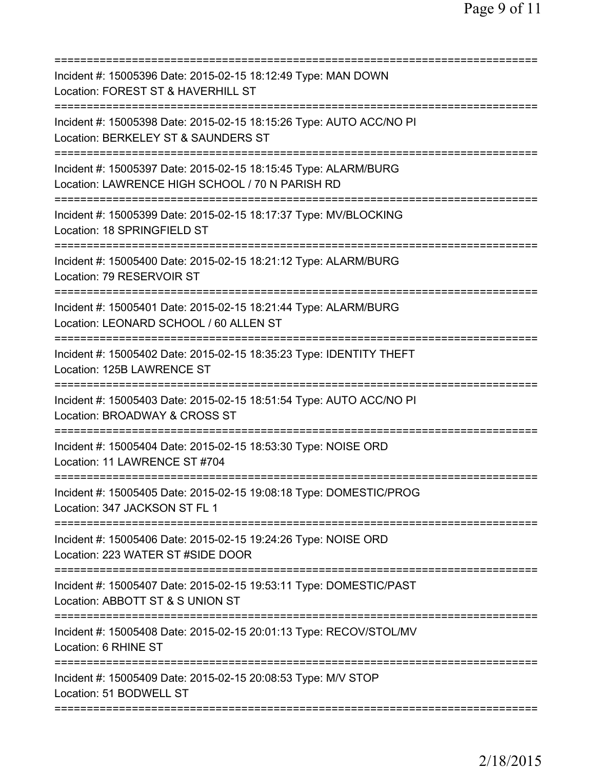| Incident #: 15005396 Date: 2015-02-15 18:12:49 Type: MAN DOWN<br>Location: FOREST ST & HAVERHILL ST                                        |
|--------------------------------------------------------------------------------------------------------------------------------------------|
| Incident #: 15005398 Date: 2015-02-15 18:15:26 Type: AUTO ACC/NO PI<br>Location: BERKELEY ST & SAUNDERS ST                                 |
| Incident #: 15005397 Date: 2015-02-15 18:15:45 Type: ALARM/BURG<br>Location: LAWRENCE HIGH SCHOOL / 70 N PARISH RD                         |
| Incident #: 15005399 Date: 2015-02-15 18:17:37 Type: MV/BLOCKING<br>Location: 18 SPRINGFIELD ST<br>=====================                   |
| Incident #: 15005400 Date: 2015-02-15 18:21:12 Type: ALARM/BURG<br>Location: 79 RESERVOIR ST                                               |
| Incident #: 15005401 Date: 2015-02-15 18:21:44 Type: ALARM/BURG<br>Location: LEONARD SCHOOL / 60 ALLEN ST                                  |
| =====================================<br>Incident #: 15005402 Date: 2015-02-15 18:35:23 Type: IDENTITY THEFT<br>Location: 125B LAWRENCE ST |
| Incident #: 15005403 Date: 2015-02-15 18:51:54 Type: AUTO ACC/NO PI<br>Location: BROADWAY & CROSS ST<br>.------------------------          |
| Incident #: 15005404 Date: 2015-02-15 18:53:30 Type: NOISE ORD<br>Location: 11 LAWRENCE ST #704                                            |
| Incident #: 15005405 Date: 2015-02-15 19:08:18 Type: DOMESTIC/PROG<br>Location: 347 JACKSON ST FL 1                                        |
| Incident #: 15005406 Date: 2015-02-15 19:24:26 Type: NOISE ORD<br>Location: 223 WATER ST #SIDE DOOR                                        |
| Incident #: 15005407 Date: 2015-02-15 19:53:11 Type: DOMESTIC/PAST<br>Location: ABBOTT ST & S UNION ST                                     |
| Incident #: 15005408 Date: 2015-02-15 20:01:13 Type: RECOV/STOL/MV<br>Location: 6 RHINE ST                                                 |
| Incident #: 15005409 Date: 2015-02-15 20:08:53 Type: M/V STOP<br>Location: 51 BODWELL ST                                                   |
|                                                                                                                                            |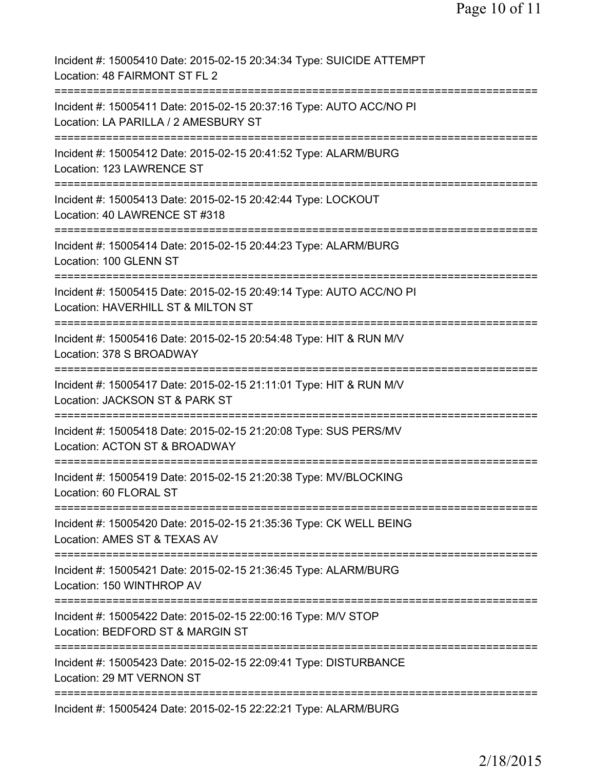| Incident #: 15005410 Date: 2015-02-15 20:34:34 Type: SUICIDE ATTEMPT<br>Location: 48 FAIRMONT ST FL 2                                        |
|----------------------------------------------------------------------------------------------------------------------------------------------|
| Incident #: 15005411 Date: 2015-02-15 20:37:16 Type: AUTO ACC/NO PI<br>Location: LA PARILLA / 2 AMESBURY ST                                  |
| Incident #: 15005412 Date: 2015-02-15 20:41:52 Type: ALARM/BURG<br>Location: 123 LAWRENCE ST                                                 |
| Incident #: 15005413 Date: 2015-02-15 20:42:44 Type: LOCKOUT<br>Location: 40 LAWRENCE ST #318                                                |
| Incident #: 15005414 Date: 2015-02-15 20:44:23 Type: ALARM/BURG<br>Location: 100 GLENN ST                                                    |
| ----------------<br>Incident #: 15005415 Date: 2015-02-15 20:49:14 Type: AUTO ACC/NO PI<br>Location: HAVERHILL ST & MILTON ST<br>----------- |
| ============================<br>Incident #: 15005416 Date: 2015-02-15 20:54:48 Type: HIT & RUN M/V<br>Location: 378 S BROADWAY               |
| ====================<br>Incident #: 15005417 Date: 2015-02-15 21:11:01 Type: HIT & RUN M/V<br>Location: JACKSON ST & PARK ST                 |
| Incident #: 15005418 Date: 2015-02-15 21:20:08 Type: SUS PERS/MV<br>Location: ACTON ST & BROADWAY                                            |
| Incident #: 15005419 Date: 2015-02-15 21:20:38 Type: MV/BLOCKING<br>Location: 60 FLORAL ST                                                   |
| Incident #: 15005420 Date: 2015-02-15 21:35:36 Type: CK WELL BEING<br>Location: AMES ST & TEXAS AV                                           |
| Incident #: 15005421 Date: 2015-02-15 21:36:45 Type: ALARM/BURG<br>Location: 150 WINTHROP AV                                                 |
| Incident #: 15005422 Date: 2015-02-15 22:00:16 Type: M/V STOP<br>Location: BEDFORD ST & MARGIN ST                                            |
| Incident #: 15005423 Date: 2015-02-15 22:09:41 Type: DISTURBANCE<br>Location: 29 MT VERNON ST                                                |
| Incident #: 15005424 Date: 2015-02-15 22:22:21 Type: ALARM/BURG                                                                              |